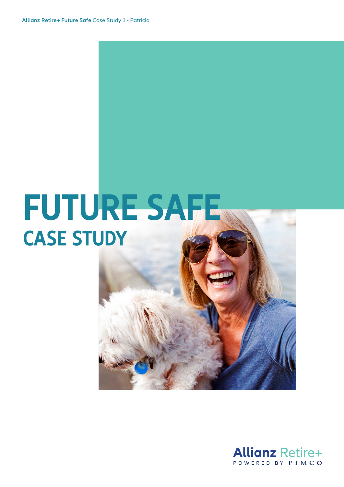# **FUTURE SAFE CASE STUDY**

#### **Allianz Retire+** POWERED BY PIMCO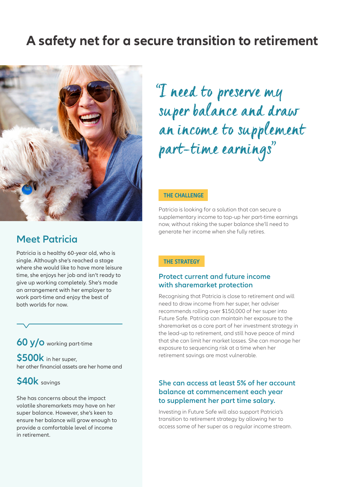### **A safety net for a secure transition to retirement**



#### **Meet Patricia**

Patricia is a healthy 60-year old, who is single. Although she's reached a stage where she would like to have more leisure time, she enjoys her job and isn't ready to give up working completely. She's made an arrangement with her employer to work part-time and enjoy the best of both worlds for now.

#### **60 y/o** working part-time

**\$500k** in her super, her other financial assets are her home and

#### **\$40k** savings

She has concerns about the impact volatile sharemarkets may have on her super balance. However, she's keen to ensure her balance will grow enough to provide a comfortable level of income in retirement.

## "I need to preserve my super balance and draw an income to supplement part-time earnings"

#### **THE CHALLENGE**

Patricia is looking for a solution that can secure a supplementary income to top-up her part-time earnings now, without risking the super balance she'll need to generate her income when she fully retires.

#### **THE STRATEGY**

#### **Protect current and future income with sharemarket protection**

Recognising that Patricia is close to retirement and will need to draw income from her super, her adviser recommends rolling over \$150,000 of her super into Future Safe. Patricia can maintain her exposure to the sharemarket as a core part of her investment strategy in the lead-up to retirement, and still have peace of mind that she can limit her market losses. She can manage her exposure to sequencing risk at a time when her retirement savings are most vulnerable.

#### **She can access at least 5% of her account balance at commencement each year to supplement her part time salary.**

Investing in Future Safe will also support Patricia's transition to retirement strategy by allowing her to access some of her super as a regular income stream.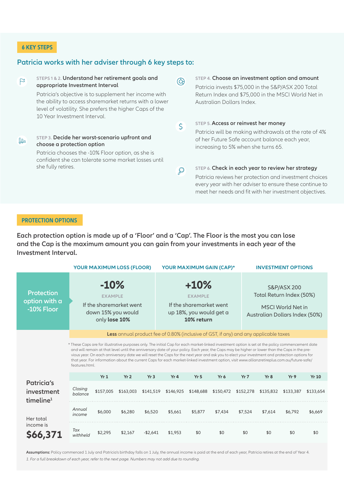#### **6 KEY STEPS**

#### **Patricia works with her adviser through 6 key steps to:**

**STEPS 1 & 2. Understand her retirement goals and STEP 4. Choose an investment option and amount**  $R$  $\circledcirc$ **appropriate Investment Interval** Patricia invests \$75,000 in the S&P/ASX 200 Total Patricia's objective is to supplement her income with Return Index and \$75,000 in the MSCI World Net in the ability to access sharemarket returns with a lower Australian Dollars Index. level of volatility. She prefers the higher Caps of the 10 Year Investment Interval. **STEP 5. Access or reinvest her money**   $\mathsf{S}$ Patricia will be making withdrawals at the rate of 4% **STEP 3. Decide her worst-scenario upfront and**  of her Future Safe account balance each year,  $\mathbf{m}$ **choose a protection option** increasing to 5% when she turns 65. Patricia chooses the -10% Floor option, as she is confident she can tolerate some market losses until she fully retires. **STEP 6. Check in each year to review her strategy**  $\mathcal{Q}$ Patricia reviews her protection and investment choices every year with her adviser to ensure these continue to meet her needs and fit with her investment objectives.

#### **PROTECTION OPTIONS**

**Each protection option is made up of a 'Floor' and a 'Cap'. The Floor is the most you can lose and the Cap is the maximum amount you can gain from your investments in each year of the Investment Interval.**

|                                                          | <b>YOUR MAXIMUM LOSS (FLOOR)</b>                                                                                                                                                                                                                                                                                                                                                                                                                                                                                                                                                                                                                                                                                   |           |           |           | YOUR MAXIMUM GAIN (CAP)*                                                                     |                 |           |           | <b>INVESTMENT OPTIONS</b>                                                                      |           |              |  |
|----------------------------------------------------------|--------------------------------------------------------------------------------------------------------------------------------------------------------------------------------------------------------------------------------------------------------------------------------------------------------------------------------------------------------------------------------------------------------------------------------------------------------------------------------------------------------------------------------------------------------------------------------------------------------------------------------------------------------------------------------------------------------------------|-----------|-----------|-----------|----------------------------------------------------------------------------------------------|-----------------|-----------|-----------|------------------------------------------------------------------------------------------------|-----------|--------------|--|
| <b>Protection</b><br>option with a<br>-10% Floor         | $-10%$<br><b>EXAMPLE</b><br>If the sharemarket went<br>down 15% you would<br>only lose 10%                                                                                                                                                                                                                                                                                                                                                                                                                                                                                                                                                                                                                         |           |           |           | $+10%$<br><b>EXAMPLE</b><br>If the sharemarket went<br>up 18%, you would get a<br>10% return |                 |           |           | S&P/ASX 200<br>Total Return Index (50%)<br>MSCI World Net in<br>Australian Dollars Index (50%) |           |              |  |
|                                                          | <b>Less</b> annual product fee of 0.80% (inclusive of GST, if any) and any applicable taxes<br>* These Caps are for illustrative purposes only. The initial Cap for each market-linked investment option is set at the policy commencement date<br>and will remain at that level until the anniversary date of your policy. Each year, the Caps may be higher or lower than the Caps in the pre-<br>vious year. On each anniversary date we will reset the Caps for the next year and ask you to elect your investment and protection options for<br>that year. For information about the current Caps for each market-linked investment option, visit www.allianzretireplus.com.au/future-safe/<br>features.html. |           |           |           |                                                                                              |                 |           |           |                                                                                                |           |              |  |
|                                                          |                                                                                                                                                                                                                                                                                                                                                                                                                                                                                                                                                                                                                                                                                                                    | Yr1       | Yr2       | Yr3       | Yr 4                                                                                         | Yr <sub>5</sub> | Yr 6      | Yr7       | Yr8                                                                                            | Yr9       | <b>Yr 10</b> |  |
| <b>Patricia's</b><br>investment<br>timeline <sup>1</sup> | Closing<br>balance                                                                                                                                                                                                                                                                                                                                                                                                                                                                                                                                                                                                                                                                                                 | \$157,005 | \$163,003 | \$141,519 | \$146,925                                                                                    | \$148,688       | \$150,472 | \$152,278 | \$135,832                                                                                      | \$133,387 | \$133,654    |  |
| Her total<br>income is<br>\$66,371                       | Annual<br>income                                                                                                                                                                                                                                                                                                                                                                                                                                                                                                                                                                                                                                                                                                   | \$6,000   | \$6,280   | \$6,520   | \$5,661                                                                                      | \$5,877         | \$7,434   | \$7,524   | \$7,614                                                                                        | \$6,792   | \$6,669      |  |
|                                                          | Tax<br>withheld                                                                                                                                                                                                                                                                                                                                                                                                                                                                                                                                                                                                                                                                                                    | \$2,295   | \$2,167   | $-$2.641$ | \$1.953                                                                                      | \$0             | \$0       | \$0       | \$0                                                                                            | \$0       | \$0          |  |

**Assumptions:** Policy commenced 1 July and Patricia's birthday falls on 1 July, the annual income is paid at the end of each year, Patricia retires at the end of Year 4. *1. For a full breakdown of each year, refer to the next page. Numbers may not add due to rounding.*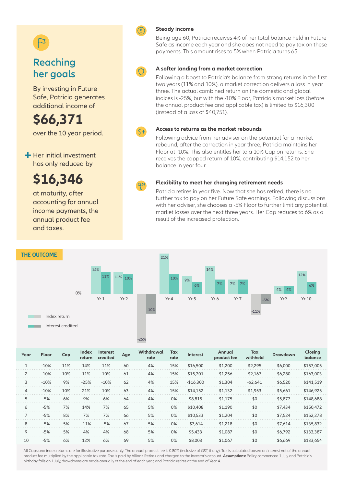### **Reaching her goals**

By investing in Future Safe, Patricia generates additional income of

**\$66,371** over the 10 year period.

 $+$  Her initial investment has only reduced by

### **\$16,346**

at maturity, after accounting for annual income payments, the annual product fee and taxes.



#### **Steady income**

Being age 60, Patricia receives 4% of her total balance held in Future Safe as income each year and she does not need to pay tax on these payments. This amount rises to 5% when Patricia turns 65.



#### **A softer landing from a market correction**

Following a boost to Patricia's balance from strong returns in the first two years (11% and 10%), a market correction delivers a loss in year three. The actual combined return on the domestic and global indices is -25%, but with the -10% Floor, Patricia's market loss (before the annual product fee and applicable tax) is limited to \$16,300 (instead of a loss of \$40,751).



#### **Access to returns as the market rebounds**

Following advice from her adviser on the potential for a market rebound, after the correction in year three, Patricia maintains her Floor at -10%. This also entitles her to a 10% Cap on returns. She receives the capped return of 10%, contributing \$14,152 to her balance in year four.



#### **Flexibility to meet her changing retirement needs**

Patricia retires in year five. Now that she has retired, there is no further tax to pay on her Future Safe earnings. Following discussions with her adviser, she chooses a -5% Floor to further limit any potential market losses over the next three years. Her Cap reduces to 6% as a result of the increased protection.



| Year           | Floor  | Cap | Index<br>return | <b>Interest</b><br>credited | Age | Withdrawal<br>rate | <b>Tax</b><br>rate | <b>Interest</b> | Annual<br>product fee | Tax<br>withheld | <b>Drawdown</b> | <b>Closing</b><br>balance |
|----------------|--------|-----|-----------------|-----------------------------|-----|--------------------|--------------------|-----------------|-----------------------|-----------------|-----------------|---------------------------|
| $\mathbf{1}$   | $-10%$ | 11% | 14%             | 11%                         | 60  | 4%                 | 15%                | \$16,500        | \$1,200               | \$2,295         | \$6,000         | \$157,005                 |
| $\overline{2}$ | $-10%$ | 10% | 11%             | 10%                         | 61  | 4%                 | 15%                | \$15,701        | \$1,256               | \$2,167         | \$6,280         | \$163,003                 |
| 3              | $-10%$ | 9%  | $-25%$          | $-10%$                      | 62  | 4%                 | 15%                | $-$16,300$      | \$1,304               | $-$2,641$       | \$6,520         | \$141.519                 |
| 4              | $-10%$ | 10% | 21%             | 10%                         | 63  | 4%                 | 15%                | \$14,152        | \$1,132               | \$1,953         | \$5,661         | \$146,925                 |
| 5              | $-5%$  | 6%  | 9%              | 6%                          | 64  | 4%                 | 0%                 | \$8,815         | \$1,175               | \$0             | \$5,877         | \$148,688                 |
| 6              | $-5%$  | 7%  | 14%             | 7%                          | 65  | 5%                 | 0%                 | \$10,408        | \$1,190               | \$0             | \$7,434         | \$150,472                 |
| $\overline{7}$ | $-5%$  | 8%  | 7%              | 7%                          | 66  | 5%                 | 0%                 | \$10,533        | \$1,204               | \$0             | \$7,524         | \$152,278                 |
| 8              | $-5%$  | 5%  | $-11%$          | $-5%$                       | 67  | 5%                 | 0%                 | $-$7,614$       | \$1,218               | \$0             | \$7,614         | \$135,832                 |
| 9              | $-5%$  | 5%  | 4%              | 4%                          | 68  | 5%                 | 0%                 | \$5,433         | \$1,087               | \$0             | \$6,792         | \$133,387                 |
| 10             | $-5%$  | 6%  | 12%             | 6%                          | 69  | 5%                 | 0%                 | \$8,003         | \$1.067               | \$0             | \$6.669         | \$133.654                 |

All Caps and index returns are for illustrative purposes only. The annual product fee is 0.80% (inclusive of GST, if any). Tax is calculated based on interest net of the annual product fee multiplied by the applicable tax rate. Tax is paid by Allianz Retire+ and charged to the investor's account. **Assumptions:** Policy commenced 1 July and Patricia's birthday falls on 1 July, drawdowns are made annually at the end of each year, and Patricia retires at the end of Year 4.